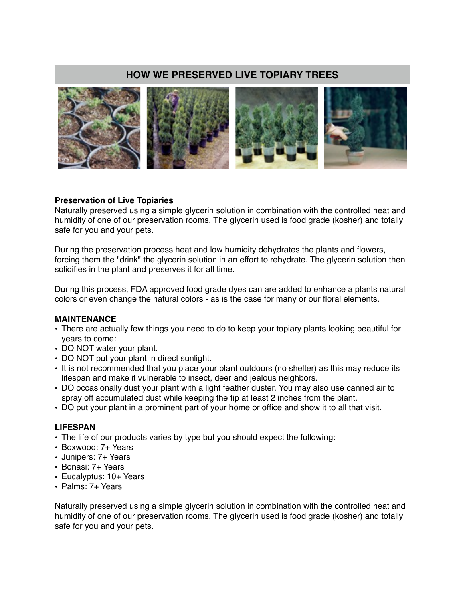# **HOW WE PRESERVED LIVE TOPIARY TREES**



## **Preservation of Live Topiaries**

Naturally preserved using a simple glycerin solution in combination with the controlled heat and humidity of one of our preservation rooms. The glycerin used is food grade (kosher) and totally safe for you and your pets.

During the preservation process heat and low humidity dehydrates the plants and flowers, forcing them the "drink" the glycerin solution in an effort to rehydrate. The glycerin solution then solidifies in the plant and preserves it for all time.

During this process, FDA approved food grade dyes can are added to enhance a plants natural colors or even change the natural colors - as is the case for many or our floral elements.

## **MAINTENANCE**

- There are actually few things you need to do to keep your topiary plants looking beautiful for years to come:
- DO NOT water your plant.
- DO NOT put your plant in direct sunlight.
- It is not recommended that you place your plant outdoors (no shelter) as this may reduce its lifespan and make it vulnerable to insect, deer and jealous neighbors.
- DO occasionally dust your plant with a light feather duster. You may also use canned air to spray off accumulated dust while keeping the tip at least 2 inches from the plant.
- DO put your plant in a prominent part of your home or office and show it to all that visit.

## **LIFESPAN**

- The life of our products varies by type but you should expect the following:
- Boxwood: 7+ Years
- Junipers: 7+ Years
- Bonasi: 7+ Years
- Eucalyptus: 10+ Years
- Palms: 7+ Years

Naturally preserved using a simple glycerin solution in combination with the controlled heat and humidity of one of our preservation rooms. The glycerin used is food grade (kosher) and totally safe for you and your pets.